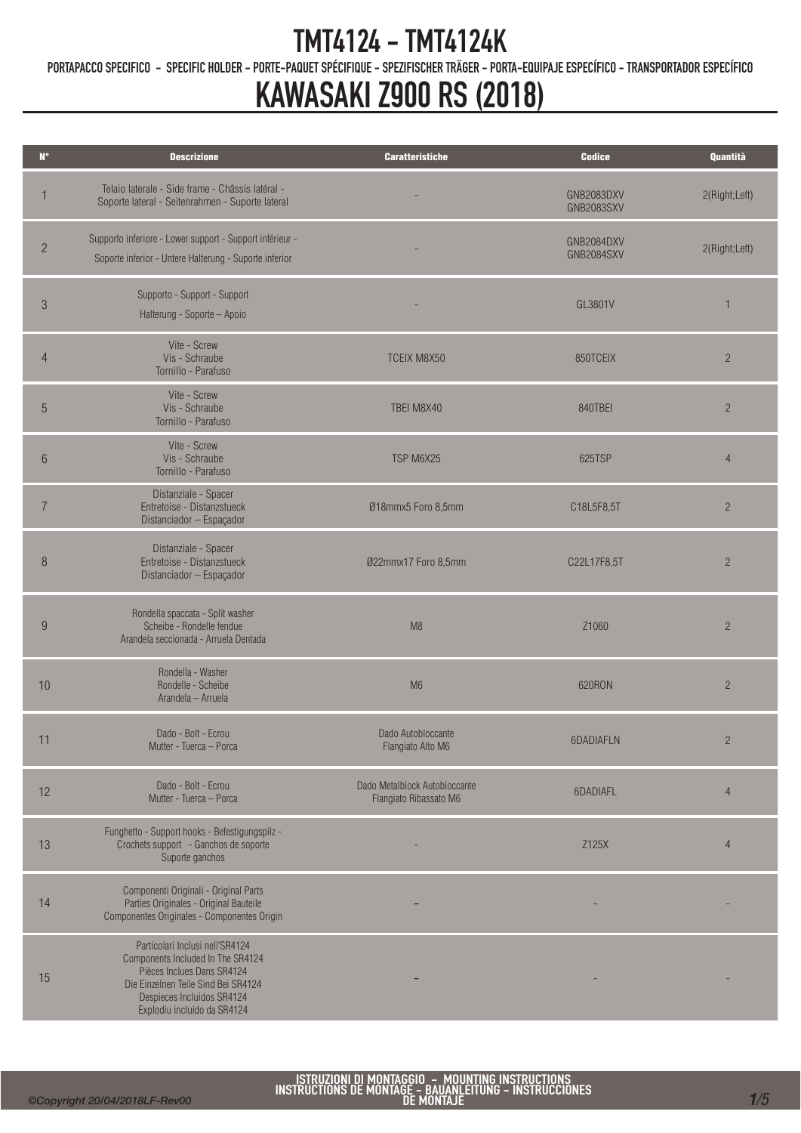PORTAPACCO SPECIFICO - SPECIFIC HOLDER - PORTE-PAQUET SPÉCIFIQUE - SPEZIFISCHER TRÄGER - PORTA-EQUIPAJE ESPECÍFICO - TRANSPORTADOR ESPECÍFICO

## KAWASAKI Z900 RS (2018)

| $\mathbf{N}^{\bullet}$ | <b>Descrizione</b>                                                                                                                                                                                     | <b>Caratteristiche</b>                                  | <b>Codice</b>                   | Quantità       |
|------------------------|--------------------------------------------------------------------------------------------------------------------------------------------------------------------------------------------------------|---------------------------------------------------------|---------------------------------|----------------|
|                        | Telaio laterale - Side frame - Châssis latéral -<br>Soporte lateral - Seitenrahmen - Suporte lateral                                                                                                   |                                                         | GNB2083DXV<br><b>GNB2083SXV</b> | 2(Right;Left)  |
| $\overline{2}$         | Supporto inferiore - Lower support - Support inférieur -<br>Soporte inferior - Untere Halterung - Suporte inferior                                                                                     |                                                         | GNB2084DXV<br>GNB2084SXV        | 2(Right;Left)  |
| $\mathfrak{Z}$         | Supporto - Support - Support<br>Halterung - Soporte - Apoio                                                                                                                                            |                                                         | GL3801V                         | $\mathbf{1}$   |
| $\overline{4}$         | Vite - Screw<br>Vis - Schraube<br>Tornillo - Parafuso                                                                                                                                                  | <b>TCEIX M8X50</b>                                      | 850TCEIX                        | $\overline{c}$ |
| 5                      | Vite - Screw<br>Vis - Schraube<br>Tornillo - Parafuso                                                                                                                                                  | TBEI M8X40                                              | 840TBEI                         | $\overline{2}$ |
| 6                      | Vite - Screw<br>Vis - Schraube<br>Tornillo - Parafuso                                                                                                                                                  | TSP M6X25                                               | 625TSP                          | $\overline{4}$ |
| $\overline{7}$         | Distanziale - Spacer<br>Entretoise - Distanzstueck<br>Distanciador - Espaçador                                                                                                                         | Ø18mmx5 Foro 8,5mm                                      | C18L5F8,5T                      | $\overline{2}$ |
| 8                      | Distanziale - Spacer<br>Entretoise - Distanzstueck<br>Distanciador - Espaçador                                                                                                                         | Ø22mmx17 Foro 8,5mm                                     | C22L17F8,5T                     | $\overline{2}$ |
| 9                      | Rondella spaccata - Split washer<br>Scheibe - Rondelle fendue<br>Arandela seccionada - Arruela Dentada                                                                                                 | M8                                                      | Z1060                           | $\overline{2}$ |
| 10                     | Rondella - Washer<br>Rondelle - Scheibe<br>Arandela - Arruela                                                                                                                                          | M <sub>6</sub>                                          | 620RON                          | $\overline{2}$ |
| 11                     | Dado - Bolt - Ecrou<br>Mutter - Tuerca - Porca                                                                                                                                                         | Dado Autobloccante<br>Flangiato Alto M6                 | 6DADIAFLN                       | $\overline{c}$ |
| 12                     | Dado - Bolt - Ecrou<br>Mutter - Tuerca - Porca                                                                                                                                                         | Dado Metalblock Autobloccante<br>Flangiato Ribassato M6 | 6DADIAFL                        | 4              |
| 13                     | Funghetto - Support hooks - Befestigungspilz -<br>Crochets support - Ganchos de soporte<br>Suporte ganchos                                                                                             |                                                         | Z125X                           | $\overline{4}$ |
| 14                     | Componenti Originali - Original Parts<br>Parties Originales - Original Bauteile<br>Componentes Originales - Componentes Origin                                                                         |                                                         |                                 |                |
| 15                     | Particolari Inclusi nell'SR4124<br>Components Included In The SR4124<br>Pièces Inclues Dans SR4124<br>Die Einzelnen Teile Sind Bei SR4124<br>Despieces Incluidos SR4124<br>Explodiu incluído da SR4124 |                                                         |                                 |                |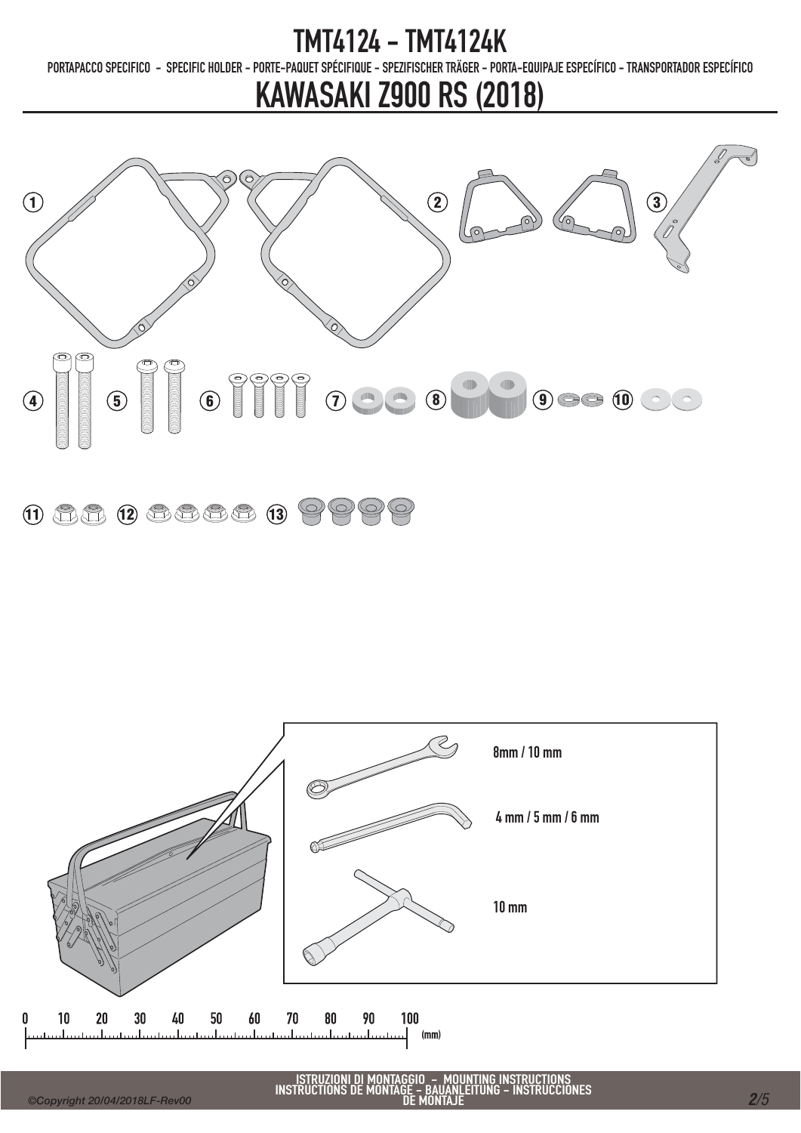PORTAPACCO SPECIFICO - SPECIFIC HOLDER - PORTE-PAQUET SPÉCIFIQUE - SPEZIFISCHER TRÄGER - PORTA-EQUIPAJE ESPECÍFICO - TRANSPORTADOR ESPECÍFICO

## KAWASAKI Z900 RS (2018)



### $11 12 12 13 19 19 19$

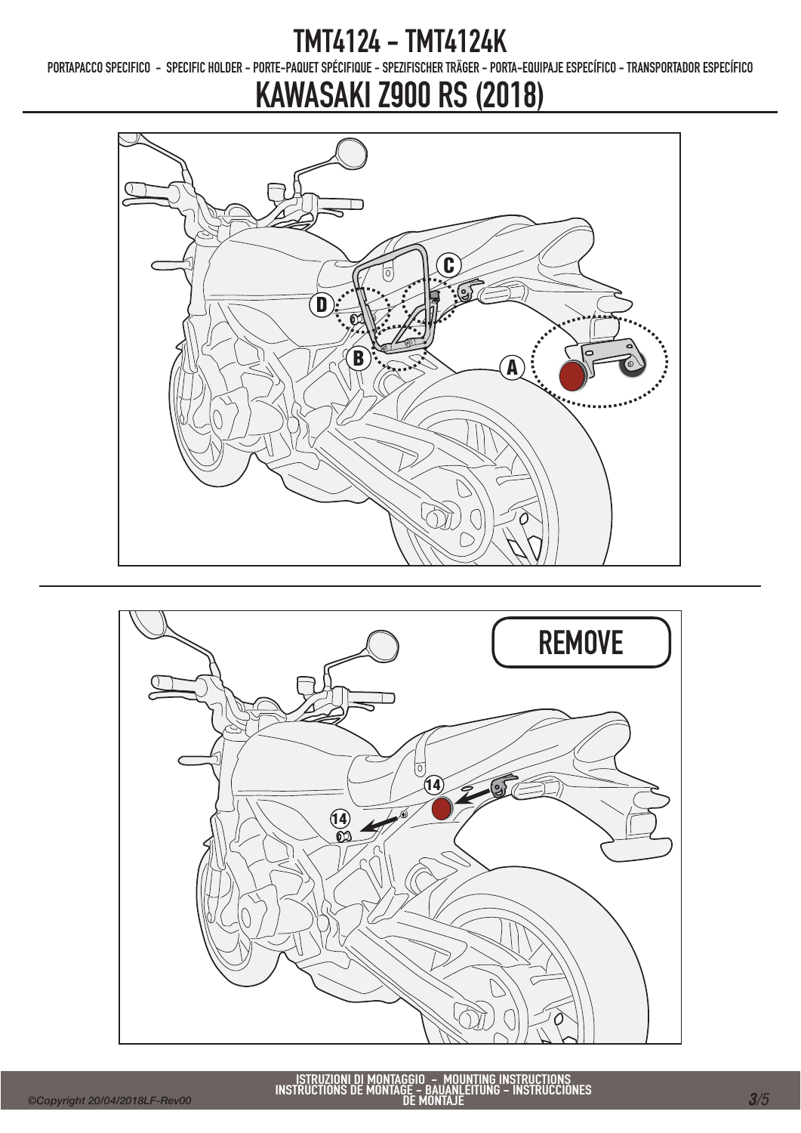PORTAPACCO SPECIFICO - SPECIFIC HOLDER - PORTE-PAQUET SPÉCIFIQUE - SPEZIFISCHER TRÄGER - PORTA-EQUIPAJE ESPECÍFICO - TRANSPORTADOR ESPECÍFICO

# KAWASAKI Z900 RS (2018)



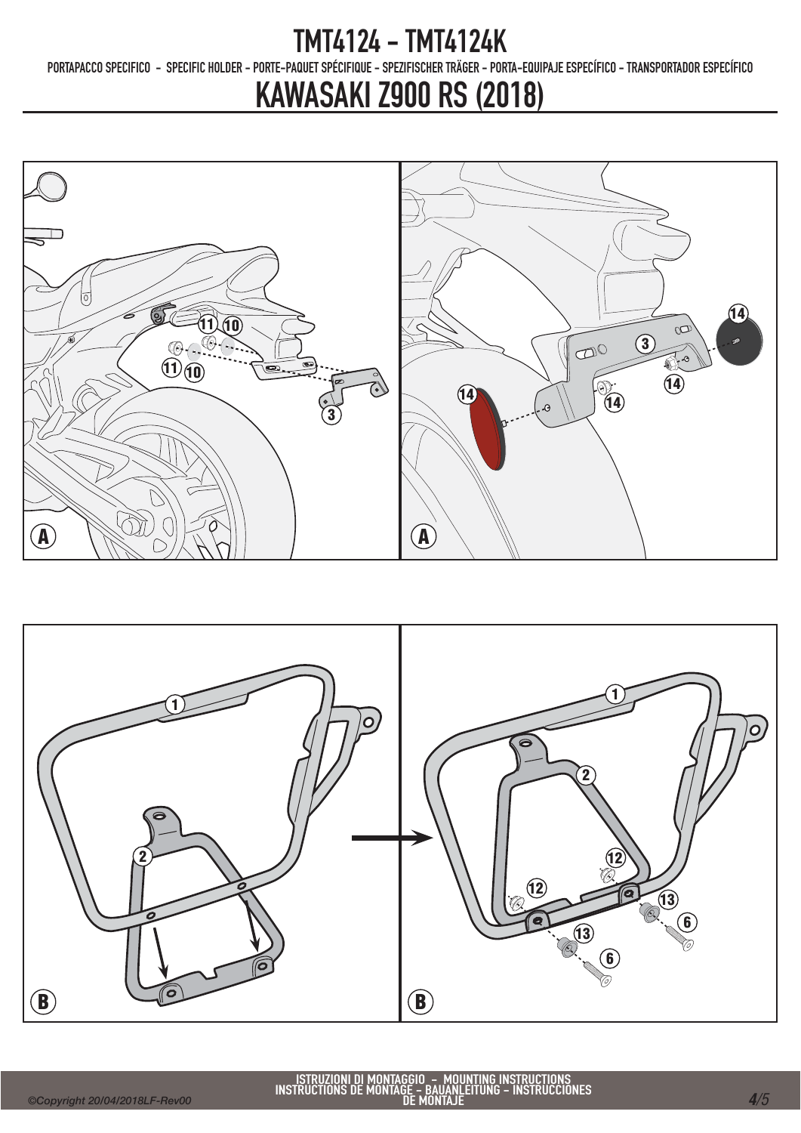PORTAPACCO SPECIFICO - SPECIFIC HOLDER - PORTE-PAQUET SPÉCIFIQUE - SPEZIFISCHER TRÄGER - PORTA-EQUIPAJE ESPECÍFICO - TRANSPORTADOR ESPECÍFICO

## KAWASAKI Z900 RS (2018)





ISTRUZIONI DI MONTAGGIO - MOUNTING INSTRUCTIONS INSTRUCTIONS DE MONTAGE - BAUANLEITUNG - INSTRUCCIONES DE MONTAJE